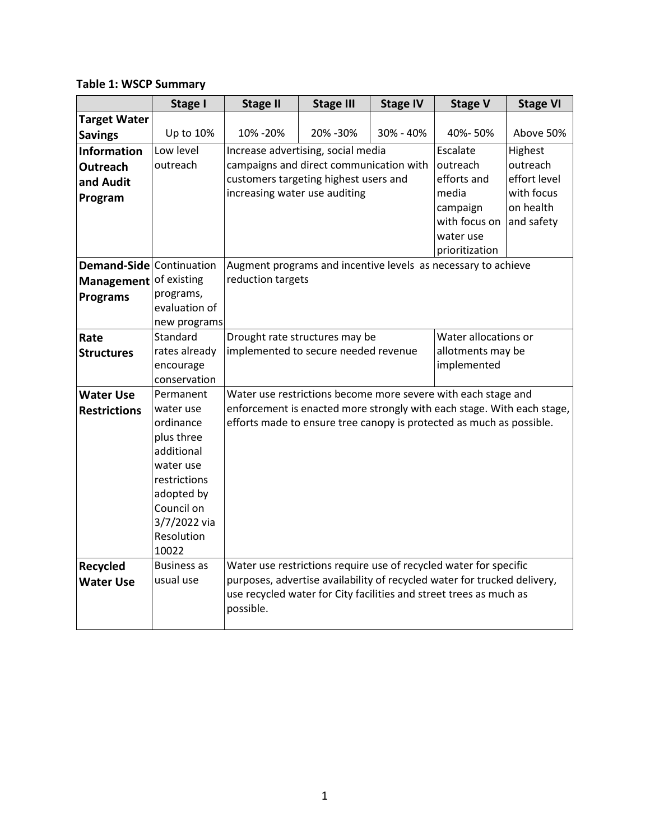| <b>Table 1: WSCP Summary</b> |  |
|------------------------------|--|
|------------------------------|--|

|                          | <b>Stage I</b>     | <b>Stage II</b>                                                                 | <b>Stage III</b> | <b>Stage IV</b> | <b>Stage V</b>       | <b>Stage VI</b> |  |
|--------------------------|--------------------|---------------------------------------------------------------------------------|------------------|-----------------|----------------------|-----------------|--|
| <b>Target Water</b>      |                    |                                                                                 |                  |                 |                      |                 |  |
| <b>Savings</b>           | Up to 10%          | 10% - 20%                                                                       | 20% - 30%        | 30% - 40%       | 40%-50%              | Above 50%       |  |
| <b>Information</b>       | Low level          | Increase advertising, social media                                              |                  |                 | Escalate             | Highest         |  |
| <b>Outreach</b>          | outreach           | campaigns and direct communication with                                         |                  |                 | outreach             | outreach        |  |
| and Audit                |                    | customers targeting highest users and                                           |                  |                 | efforts and          | effort level    |  |
| Program                  |                    | increasing water use auditing                                                   |                  |                 | media                | with focus      |  |
|                          |                    |                                                                                 |                  |                 | campaign             | on health       |  |
|                          |                    |                                                                                 |                  |                 | with focus on        | and safety      |  |
|                          |                    |                                                                                 |                  |                 | water use            |                 |  |
|                          |                    |                                                                                 |                  |                 | prioritization       |                 |  |
| Demand-Side Continuation |                    | Augment programs and incentive levels as necessary to achieve                   |                  |                 |                      |                 |  |
| Management               | of existing        | reduction targets                                                               |                  |                 |                      |                 |  |
| <b>Programs</b>          | programs,          |                                                                                 |                  |                 |                      |                 |  |
|                          | evaluation of      |                                                                                 |                  |                 |                      |                 |  |
|                          | new programs       |                                                                                 |                  |                 |                      |                 |  |
| Rate                     | Standard           | Drought rate structures may be                                                  |                  |                 | Water allocations or |                 |  |
| <b>Structures</b>        | rates already      | implemented to secure needed revenue                                            |                  |                 | allotments may be    |                 |  |
|                          | encourage          | implemented                                                                     |                  |                 |                      |                 |  |
|                          | conservation       |                                                                                 |                  |                 |                      |                 |  |
| <b>Water Use</b>         | Permanent          | Water use restrictions become more severe with each stage and                   |                  |                 |                      |                 |  |
| <b>Restrictions</b>      | water use          | enforcement is enacted more strongly with each stage. With each stage,          |                  |                 |                      |                 |  |
|                          | ordinance          | efforts made to ensure tree canopy is protected as much as possible.            |                  |                 |                      |                 |  |
|                          | plus three         |                                                                                 |                  |                 |                      |                 |  |
|                          | additional         |                                                                                 |                  |                 |                      |                 |  |
|                          | water use          |                                                                                 |                  |                 |                      |                 |  |
|                          | restrictions       |                                                                                 |                  |                 |                      |                 |  |
|                          | adopted by         |                                                                                 |                  |                 |                      |                 |  |
|                          | Council on         |                                                                                 |                  |                 |                      |                 |  |
|                          | 3/7/2022 via       |                                                                                 |                  |                 |                      |                 |  |
|                          | Resolution         |                                                                                 |                  |                 |                      |                 |  |
|                          | 10022              |                                                                                 |                  |                 |                      |                 |  |
| <b>Recycled</b>          | <b>Business as</b> | Water use restrictions require use of recycled water for specific               |                  |                 |                      |                 |  |
| <b>Water Use</b>         | usual use          | purposes, advertise availability of recycled water for trucked delivery,        |                  |                 |                      |                 |  |
|                          |                    | use recycled water for City facilities and street trees as much as<br>possible. |                  |                 |                      |                 |  |
|                          |                    |                                                                                 |                  |                 |                      |                 |  |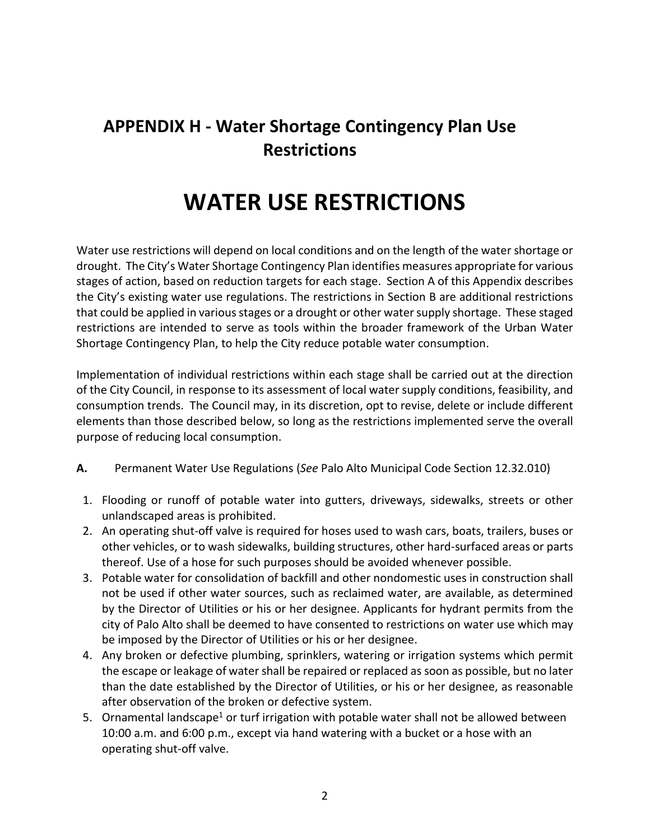# **APPENDIX H - Water Shortage Contingency Plan Use Restrictions**

# **WATER USE RESTRICTIONS**

Water use restrictions will depend on local conditions and on the length of the water shortage or drought. The City's Water Shortage Contingency Plan identifies measures appropriate for various stages of action, based on reduction targets for each stage. Section A of this Appendix describes the City's existing water use regulations. The restrictions in Section B are additional restrictions that could be applied in various stages or a drought or other water supply shortage. These staged restrictions are intended to serve as tools within the broader framework of the Urban Water Shortage Contingency Plan, to help the City reduce potable water consumption.

Implementation of individual restrictions within each stage shall be carried out at the direction of the City Council, in response to its assessment of local water supply conditions, feasibility, and consumption trends. The Council may, in its discretion, opt to revise, delete or include different elements than those described below, so long as the restrictions implemented serve the overall purpose of reducing local consumption.

- **A.** Permanent Water Use Regulations (*See* Palo Alto Municipal Code Section 12.32.010)
- 1. Flooding or runoff of potable water into gutters, driveways, sidewalks, streets or other unlandscaped areas is prohibited.
- 2. An operating shut-off valve is required for hoses used to wash cars, boats, trailers, buses or other vehicles, or to wash sidewalks, building structures, other hard-surfaced areas or parts thereof. Use of a hose for such purposes should be avoided whenever possible.
- 3. Potable water for consolidation of backfill and other nondomestic uses in construction shall not be used if other water sources, such as reclaimed water, are available, as determined by the Director of Utilities or his or her designee. Applicants for hydrant permits from the city of Palo Alto shall be deemed to have consented to restrictions on water use which may be imposed by the Director of Utilities or his or her designee.
- 4. Any broken or defective plumbing, sprinklers, watering or irrigation systems which permit the escape or leakage of water shall be repaired or replaced as soon as possible, but no later than the date established by the Director of Utilities, or his or her designee, as reasonable after observation of the broken or defective system.
- 5. Ornamental landscape<sup>1</sup> or turf irrigation with potable water shall not be allowed between 10:00 a.m. and 6:00 p.m., except via hand watering with a bucket or a hose with an operating shut-off valve.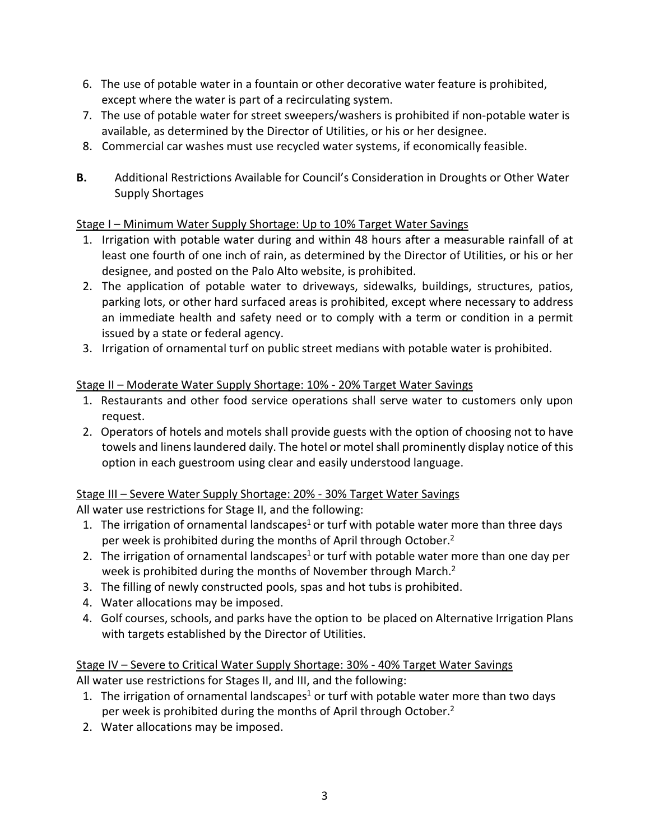- 6. The use of potable water in a fountain or other decorative water feature is prohibited, except where the water is part of a recirculating system.
- 7. The use of potable water for street sweepers/washers is prohibited if non-potable water is available, as determined by the Director of Utilities, or his or her designee.
- 8. Commercial car washes must use recycled water systems, if economically feasible.
- **B.** Additional Restrictions Available for Council's Consideration in Droughts or Other Water Supply Shortages

#### Stage I – Minimum Water Supply Shortage: Up to 10% Target Water Savings

- 1. Irrigation with potable water during and within 48 hours after a measurable rainfall of at least one fourth of one inch of rain, as determined by the Director of Utilities, or his or her designee, and posted on the Palo Alto website, is prohibited.
- 2. The application of potable water to driveways, sidewalks, buildings, structures, patios, parking lots, or other hard surfaced areas is prohibited, except where necessary to address an immediate health and safety need or to comply with a term or condition in a permit issued by a state or federal agency.
- 3. Irrigation of ornamental turf on public street medians with potable water is prohibited.

### Stage II – Moderate Water Supply Shortage: 10% - 20% Target Water Savings

- 1. Restaurants and other food service operations shall serve water to customers only upon request.
- 2. Operators of hotels and motels shall provide guests with the option of choosing not to have towels and linens laundered daily. The hotel or motel shall prominently display notice of this option in each guestroom using clear and easily understood language.

#### Stage III – Severe Water Supply Shortage: 20% - 30% Target Water Savings

All water use restrictions for Stage II, and the following:

- 1. The irrigation of ornamental landscapes<sup>1</sup> or turf with potable water more than three days per week is prohibited during the months of April through October.<sup>2</sup>
- 2. The irrigation of ornamental landscapes<sup>1</sup> or turf with potable water more than one day per week is prohibited during the months of November through March. 2
- 3. The filling of newly constructed pools, spas and hot tubs is prohibited.
- 4. Water allocations may be imposed.
- 4. Golf courses, schools, and parks have the option to be placed on Alternative Irrigation Plans with targets established by the Director of Utilities.

## Stage IV – Severe to Critical Water Supply Shortage: 30% - 40% Target Water Savings

All water use restrictions for Stages II, and III, and the following:

- 1. The irrigation of ornamental landscapes<sup>1</sup> or turf with potable water more than two days per week is prohibited during the months of April through October.<sup>2</sup>
- 2. Water allocations may be imposed.